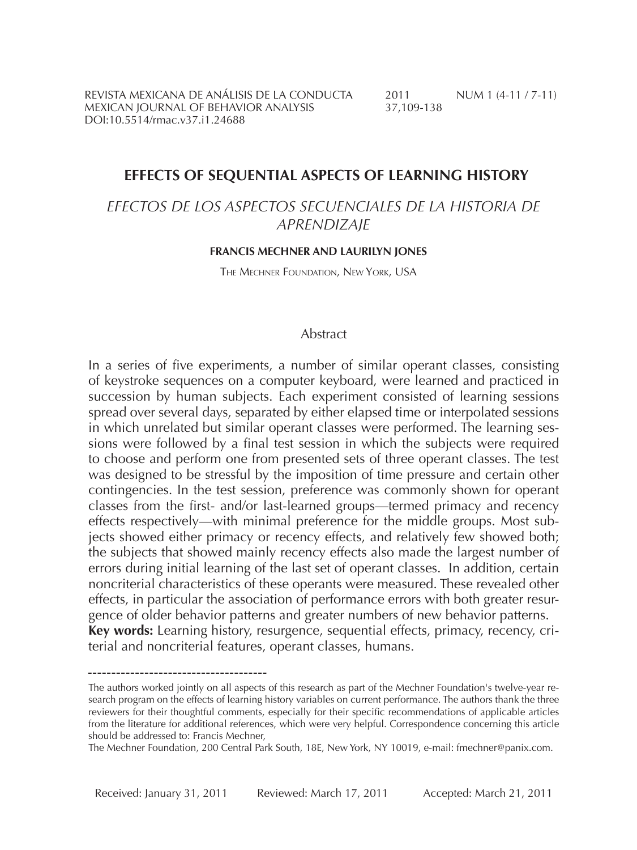REVISTA MEXICANA DE ANÁLISIS DE LA CONDUCTA  $2011$  NUM 1 (4-11 / 7-11)<br>MEXICAN JOURNAL OF BEHAVIOR ANALYSIS  $37,109-138$ MEXICAN IOURNAL OF BEHAVIOR ANALYSIS DOI:10.5514/rmac.v37.i1.24688

### **Effects of Sequential Aspects of Learning History**

# *Efectos de los aspectos secuenciales de la historia de aprendizaje*

#### **Francis Mechner and Laurilyn Jones**

The Mechner Foundation, New York, USA

### Abstract

In a series of five experiments, a number of similar operant classes, consisting of keystroke sequences on a computer keyboard, were learned and practiced in succession by human subjects. Each experiment consisted of learning sessions spread over several days, separated by either elapsed time or interpolated sessions in which unrelated but similar operant classes were performed. The learning sessions were followed by a final test session in which the subjects were required to choose and perform one from presented sets of three operant classes. The test was designed to be stressful by the imposition of time pressure and certain other contingencies. In the test session, preference was commonly shown for operant classes from the first- and/or last-learned groups—termed primacy and recency effects respectively—with minimal preference for the middle groups. Most subjects showed either primacy or recency effects, and relatively few showed both; the subjects that showed mainly recency effects also made the largest number of errors during initial learning of the last set of operant classes. In addition, certain noncriterial characteristics of these operants were measured. These revealed other effects, in particular the association of performance errors with both greater resurgence of older behavior patterns and greater numbers of new behavior patterns. **Key words:** Learning history, resurgence, sequential effects, primacy, recency, criterial and noncriterial features, operant classes, humans.

The authors worked jointly on all aspects of this research as part of the Mechner Foundation's twelve-year research program on the effects of learning history variables on current performance. The authors thank the three reviewers for their thoughtful comments, especially for their specific recommendations of applicable articles from the literature for additional references, which were very helpful. Correspondence concerning this article should be addressed to: Francis Mechner,

The Mechner Foundation, 200 Central Park South, 18E, New York, NY 10019, e-mail: fmechner@panix.com.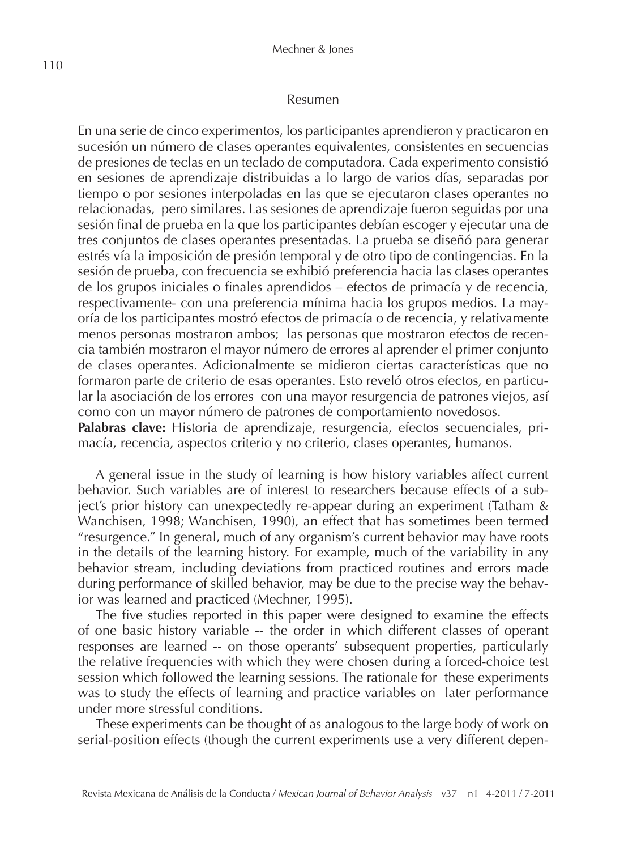#### Resumen

En una serie de cinco experimentos, los participantes aprendieron y practicaron en sucesión un número de clases operantes equivalentes, consistentes en secuencias de presiones de teclas en un teclado de computadora. Cada experimento consistió en sesiones de aprendizaje distribuidas a lo largo de varios días, separadas por tiempo o por sesiones interpoladas en las que se ejecutaron clases operantes no relacionadas, pero similares. Las sesiones de aprendizaje fueron seguidas por una sesión final de prueba en la que los participantes debían escoger y ejecutar una de tres conjuntos de clases operantes presentadas. La prueba se diseñó para generar estrés vía la imposición de presión temporal y de otro tipo de contingencias. En la sesión de prueba, con frecuencia se exhibió preferencia hacia las clases operantes de los grupos iniciales o finales aprendidos – efectos de primacía y de recencia, respectivamente- con una preferencia mínima hacia los grupos medios. La mayoría de los participantes mostró efectos de primacía o de recencia, y relativamente menos personas mostraron ambos; las personas que mostraron efectos de recencia también mostraron el mayor número de errores al aprender el primer conjunto de clases operantes. Adicionalmente se midieron ciertas características que no formaron parte de criterio de esas operantes. Esto reveló otros efectos, en particular la asociación de los errores con una mayor resurgencia de patrones viejos, así como con un mayor número de patrones de comportamiento novedosos. **Palabras clave:** Historia de aprendizaje, resurgencia, efectos secuenciales, primacía, recencia, aspectos criterio y no criterio, clases operantes, humanos.

A general issue in the study of learning is how history variables affect current behavior. Such variables are of interest to researchers because effects of a subject's prior history can unexpectedly re-appear during an experiment (Tatham & Wanchisen, 1998; Wanchisen, 1990), an effect that has sometimes been termed "resurgence." In general, much of any organism's current behavior may have roots in the details of the learning history. For example, much of the variability in any behavior stream, including deviations from practiced routines and errors made during performance of skilled behavior, may be due to the precise way the behavior was learned and practiced (Mechner, 1995).

The five studies reported in this paper were designed to examine the effects of one basic history variable -- the order in which different classes of operant responses are learned -- on those operants' subsequent properties, particularly the relative frequencies with which they were chosen during a forced-choice test session which followed the learning sessions. The rationale for these experiments was to study the effects of learning and practice variables on later performance under more stressful conditions.

These experiments can be thought of as analogous to the large body of work on serial-position effects (though the current experiments use a very different depen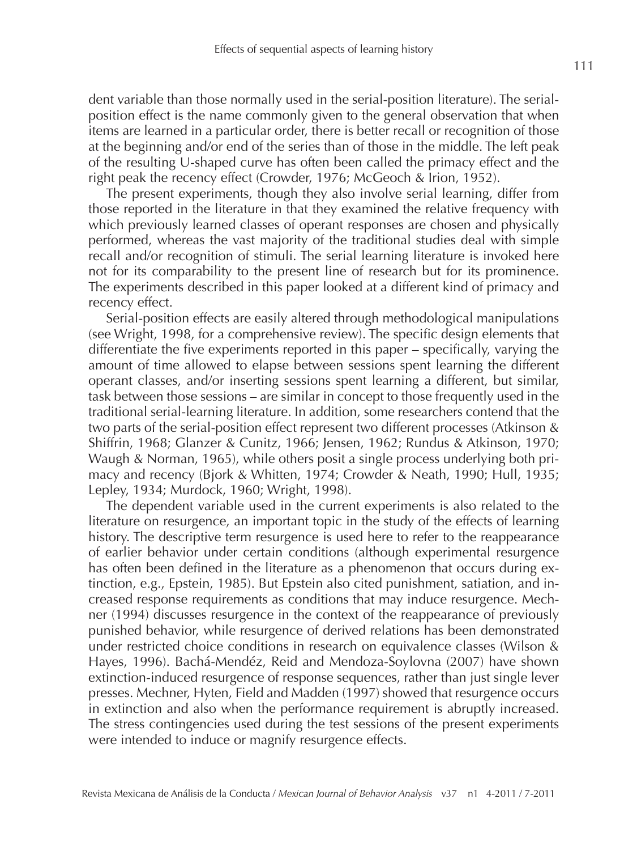dent variable than those normally used in the serial-position literature). The serialposition effect is the name commonly given to the general observation that when items are learned in a particular order, there is better recall or recognition of those at the beginning and/or end of the series than of those in the middle. The left peak of the resulting U-shaped curve has often been called the primacy effect and the right peak the recency effect (Crowder, 1976; McGeoch & Irion, 1952).

The present experiments, though they also involve serial learning, differ from those reported in the literature in that they examined the relative frequency with which previously learned classes of operant responses are chosen and physically performed, whereas the vast majority of the traditional studies deal with simple recall and/or recognition of stimuli. The serial learning literature is invoked here not for its comparability to the present line of research but for its prominence. The experiments described in this paper looked at a different kind of primacy and recency effect.

Serial-position effects are easily altered through methodological manipulations (see Wright, 1998, for a comprehensive review). The specific design elements that differentiate the five experiments reported in this paper – specifically, varying the amount of time allowed to elapse between sessions spent learning the different operant classes, and/or inserting sessions spent learning a different, but similar, task between those sessions – are similar in concept to those frequently used in the traditional serial-learning literature. In addition, some researchers contend that the two parts of the serial-position effect represent two different processes (Atkinson & Shiffrin, 1968; Glanzer & Cunitz, 1966; Jensen, 1962; Rundus & Atkinson, 1970; Waugh & Norman, 1965), while others posit a single process underlying both primacy and recency (Bjork & Whitten, 1974; Crowder & Neath, 1990; Hull, 1935; Lepley, 1934; Murdock, 1960; Wright, 1998).

The dependent variable used in the current experiments is also related to the literature on resurgence, an important topic in the study of the effects of learning history. The descriptive term resurgence is used here to refer to the reappearance of earlier behavior under certain conditions (although experimental resurgence has often been defined in the literature as a phenomenon that occurs during extinction, e.g., Epstein, 1985). But Epstein also cited punishment, satiation, and increased response requirements as conditions that may induce resurgence. Mechner (1994) discusses resurgence in the context of the reappearance of previously punished behavior, while resurgence of derived relations has been demonstrated under restricted choice conditions in research on equivalence classes (Wilson & Hayes, 1996). Bachá-Mendéz, Reid and Mendoza-Soylovna (2007) have shown extinction-induced resurgence of response sequences, rather than just single lever presses. Mechner, Hyten, Field and Madden (1997) showed that resurgence occurs in extinction and also when the performance requirement is abruptly increased. The stress contingencies used during the test sessions of the present experiments were intended to induce or magnify resurgence effects.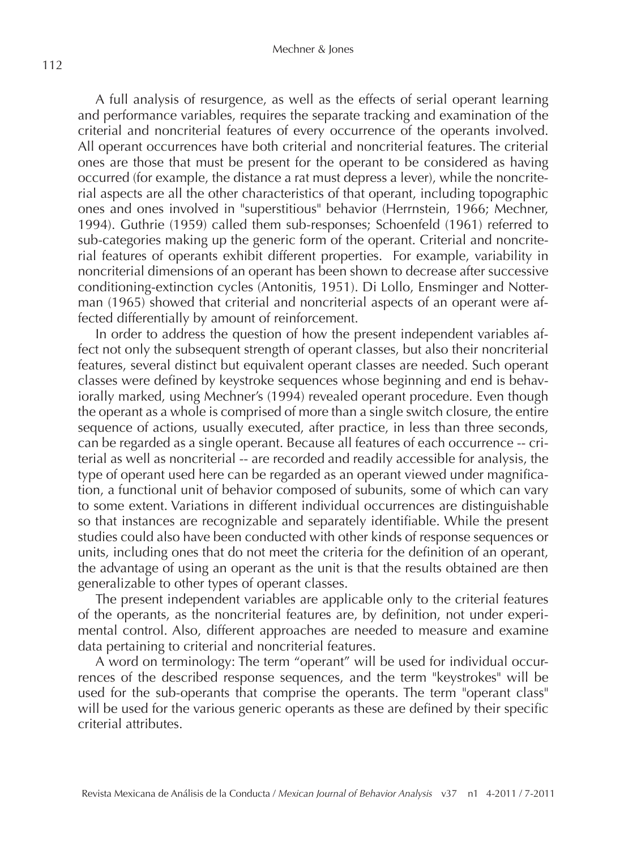#### Mechner & Jones

A full analysis of resurgence, as well as the effects of serial operant learning and performance variables, requires the separate tracking and examination of the criterial and noncriterial features of every occurrence of the operants involved. All operant occurrences have both criterial and noncriterial features. The criterial ones are those that must be present for the operant to be considered as having occurred (for example, the distance a rat must depress a lever), while the noncriterial aspects are all the other characteristics of that operant, including topographic ones and ones involved in "superstitious" behavior (Herrnstein, 1966; Mechner, 1994). Guthrie (1959) called them sub-responses; Schoenfeld (1961) referred to sub-categories making up the generic form of the operant. Criterial and noncriterial features of operants exhibit different properties. For example, variability in noncriterial dimensions of an operant has been shown to decrease after successive conditioning-extinction cycles (Antonitis, 1951). Di Lollo, Ensminger and Notterman (1965) showed that criterial and noncriterial aspects of an operant were affected differentially by amount of reinforcement.

In order to address the question of how the present independent variables affect not only the subsequent strength of operant classes, but also their noncriterial features, several distinct but equivalent operant classes are needed. Such operant classes were defined by keystroke sequences whose beginning and end is behaviorally marked, using Mechner's (1994) revealed operant procedure. Even though the operant as a whole is comprised of more than a single switch closure, the entire sequence of actions, usually executed, after practice, in less than three seconds, can be regarded as a single operant. Because all features of each occurrence -- criterial as well as noncriterial -- are recorded and readily accessible for analysis, the type of operant used here can be regarded as an operant viewed under magnification, a functional unit of behavior composed of subunits, some of which can vary to some extent. Variations in different individual occurrences are distinguishable so that instances are recognizable and separately identifiable. While the present studies could also have been conducted with other kinds of response sequences or units, including ones that do not meet the criteria for the definition of an operant, the advantage of using an operant as the unit is that the results obtained are then generalizable to other types of operant classes.

The present independent variables are applicable only to the criterial features of the operants, as the noncriterial features are, by definition, not under experimental control. Also, different approaches are needed to measure and examine data pertaining to criterial and noncriterial features.

A word on terminology: The term "operant" will be used for individual occurrences of the described response sequences, and the term "keystrokes" will be used for the sub-operants that comprise the operants. The term "operant class" will be used for the various generic operants as these are defined by their specific criterial attributes.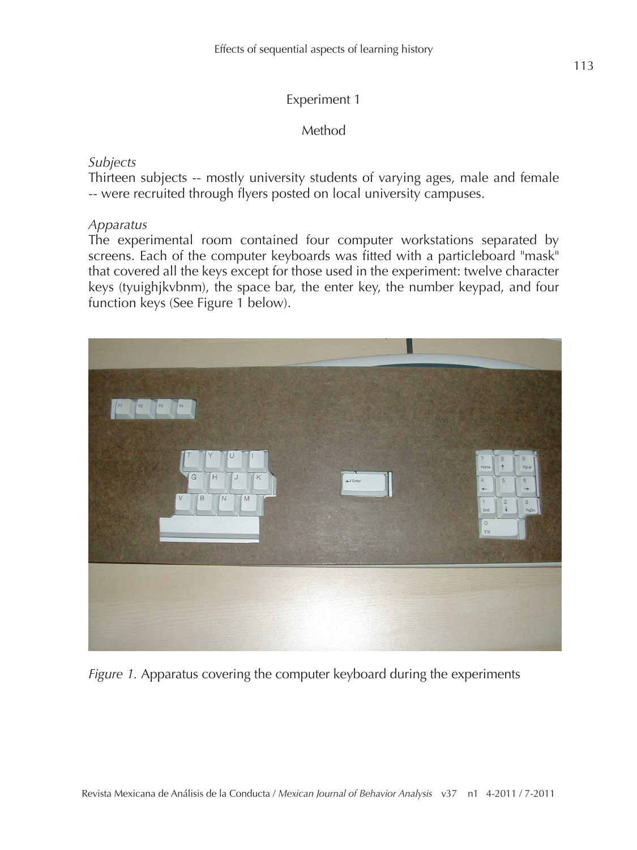# Experiment 1

Method

# *Subjects*

Thirteen subjects -- mostly university students of varying ages, male and female -- were recruited through flyers posted on local university campuses.

# *Apparatus*

The experimental room contained four computer workstations separated by screens. Each of the computer keyboards was fitted with a particleboard "mask" that covered all the keys except for those used in the experiment: twelve character keys (tyuighjkvbnm), the space bar, the enter key, the number keypad, and four function keys (See Figure 1 below).



*Figure 1.* Apparatus covering the computer keyboard during the experiments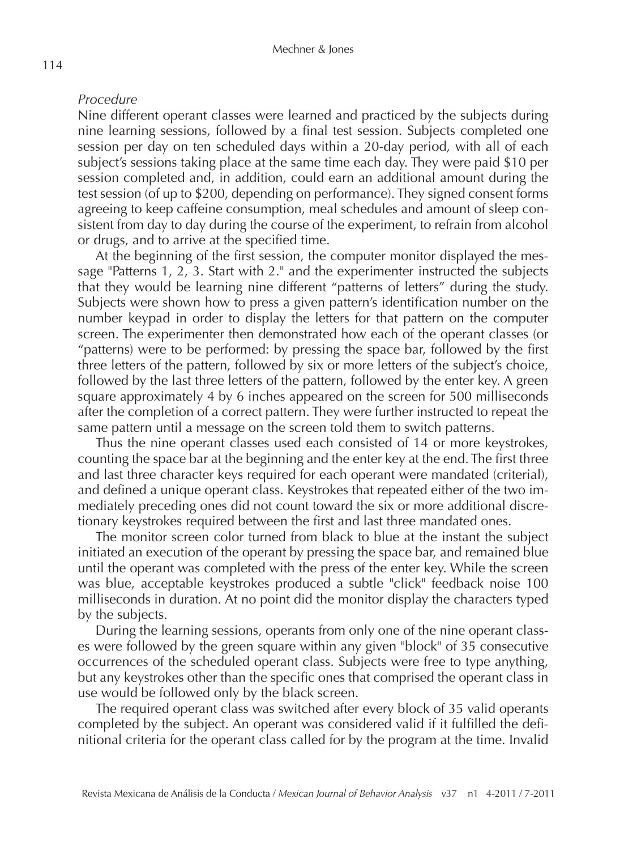# *Procedure*

Nine different operant classes were learned and practiced by the subjects during nine learning sessions, followed by a final test session. Subjects completed one session per day on ten scheduled days within a 20-day period, with all of each subject's sessions taking place at the same time each day. They were paid \$10 per session completed and, in addition, could earn an additional amount during the test session (of up to \$200, depending on performance). They signed consent forms agreeing to keep caffeine consumption, meal schedules and amount of sleep consistent from day to day during the course of the experiment, to refrain from alcohol or drugs, and to arrive at the specified time.

At the beginning of the first session, the computer monitor displayed the message "Patterns 1, 2, 3. Start with 2." and the experimenter instructed the subjects that they would be learning nine different "patterns of letters" during the study. Subjects were shown how to press a given pattern's identification number on the number keypad in order to display the letters for that pattern on the computer screen. The experimenter then demonstrated how each of the operant classes (or "patterns) were to be performed: by pressing the space bar, followed by the first three letters of the pattern, followed by six or more letters of the subject's choice, followed by the last three letters of the pattern, followed by the enter key. A green square approximately 4 by 6 inches appeared on the screen for 500 milliseconds after the completion of a correct pattern. They were further instructed to repeat the same pattern until a message on the screen told them to switch patterns.

Thus the nine operant classes used each consisted of 14 or more keystrokes, counting the space bar at the beginning and the enter key at the end. The first three and last three character keys required for each operant were mandated (criterial), and defined a unique operant class. Keystrokes that repeated either of the two immediately preceding ones did not count toward the six or more additional discretionary keystrokes required between the first and last three mandated ones.

The monitor screen color turned from black to blue at the instant the subject initiated an execution of the operant by pressing the space bar, and remained blue until the operant was completed with the press of the enter key. While the screen was blue, acceptable keystrokes produced a subtle "click" feedback noise 100 milliseconds in duration. At no point did the monitor display the characters typed by the subjects.

During the learning sessions, operants from only one of the nine operant classes were followed by the green square within any given "block" of 35 consecutive occurrences of the scheduled operant class. Subjects were free to type anything, but any keystrokes other than the specific ones that comprised the operant class in use would be followed only by the black screen.

The required operant class was switched after every block of 35 valid operants completed by the subject. An operant was considered valid if it fulfilled the definitional criteria for the operant class called for by the program at the time. Invalid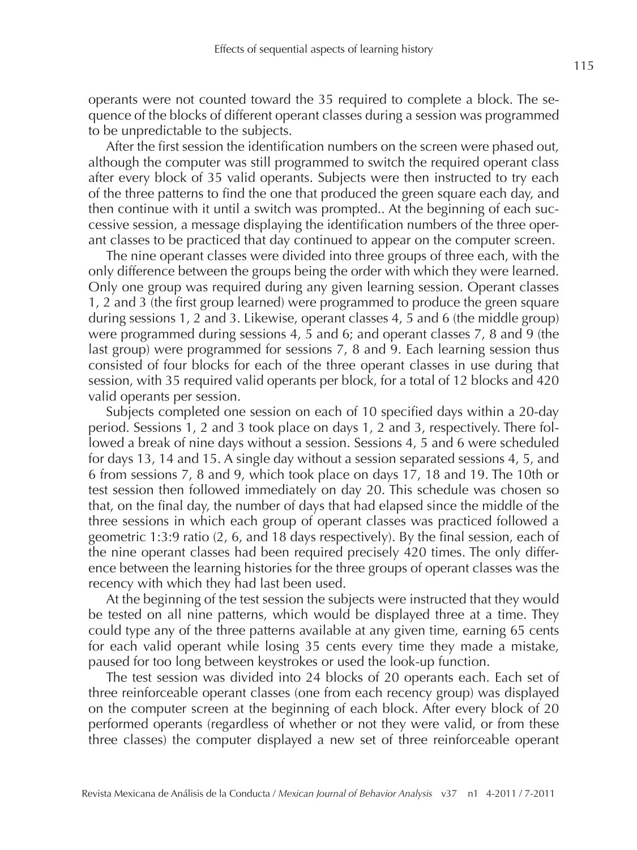operants were not counted toward the 35 required to complete a block. The sequence of the blocks of different operant classes during a session was programmed to be unpredictable to the subjects.

After the first session the identification numbers on the screen were phased out, although the computer was still programmed to switch the required operant class after every block of 35 valid operants. Subjects were then instructed to try each of the three patterns to find the one that produced the green square each day, and then continue with it until a switch was prompted.. At the beginning of each successive session, a message displaying the identification numbers of the three operant classes to be practiced that day continued to appear on the computer screen.

The nine operant classes were divided into three groups of three each, with the only difference between the groups being the order with which they were learned. Only one group was required during any given learning session. Operant classes 1, 2 and 3 (the first group learned) were programmed to produce the green square during sessions 1, 2 and 3. Likewise, operant classes 4, 5 and 6 (the middle group) were programmed during sessions 4, 5 and 6; and operant classes 7, 8 and 9 (the last group) were programmed for sessions 7, 8 and 9. Each learning session thus consisted of four blocks for each of the three operant classes in use during that session, with 35 required valid operants per block, for a total of 12 blocks and 420 valid operants per session.

Subjects completed one session on each of 10 specified days within a 20-day period. Sessions 1, 2 and 3 took place on days 1, 2 and 3, respectively. There followed a break of nine days without a session. Sessions 4, 5 and 6 were scheduled for days 13, 14 and 15. A single day without a session separated sessions 4, 5, and 6 from sessions 7, 8 and 9, which took place on days 17, 18 and 19. The 10th or test session then followed immediately on day 20. This schedule was chosen so that, on the final day, the number of days that had elapsed since the middle of the three sessions in which each group of operant classes was practiced followed a geometric 1:3:9 ratio (2, 6, and 18 days respectively). By the final session, each of the nine operant classes had been required precisely 420 times. The only difference between the learning histories for the three groups of operant classes was the recency with which they had last been used.

At the beginning of the test session the subjects were instructed that they would be tested on all nine patterns, which would be displayed three at a time. They could type any of the three patterns available at any given time, earning 65 cents for each valid operant while losing 35 cents every time they made a mistake, paused for too long between keystrokes or used the look-up function.

The test session was divided into 24 blocks of 20 operants each. Each set of three reinforceable operant classes (one from each recency group) was displayed on the computer screen at the beginning of each block. After every block of 20 performed operants (regardless of whether or not they were valid, or from these three classes) the computer displayed a new set of three reinforceable operant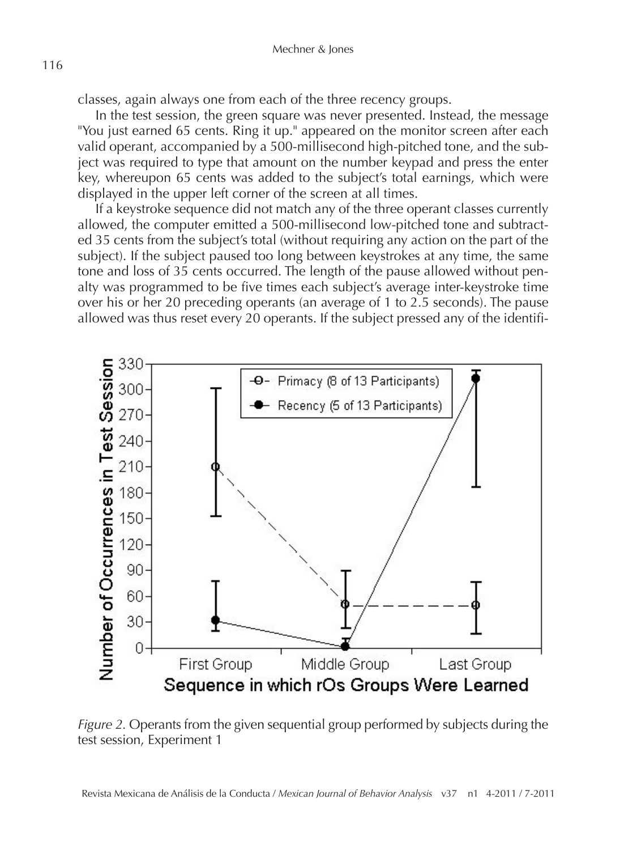classes, again always one from each of the three recency groups.

In the test session, the green square was never presented. Instead, the message "You just earned 65 cents. Ring it up." appeared on the monitor screen after each valid operant, accompanied by a 500-millisecond high-pitched tone, and the subject was required to type that amount on the number keypad and press the enter key, whereupon 65 cents was added to the subject's total earnings, which were displayed in the upper left corner of the screen at all times.

If a keystroke sequence did not match any of the three operant classes currently allowed, the computer emitted a 500-millisecond low-pitched tone and subtracted 35 cents from the subject's total (without requiring any action on the part of the subject). If the subject paused too long between keystrokes at any time, the same tone and loss of 35 cents occurred. The length of the pause allowed without penalty was programmed to be five times each subject's average inter-keystroke time over his or her 20 preceding operants (an average of 1 to 2.5 seconds). The pause allowed was thus reset every 20 operants. If the subject pressed any of the identifi-



*Figure 2.* Operants from the given sequential group performed by subjects during the test session, Experiment 1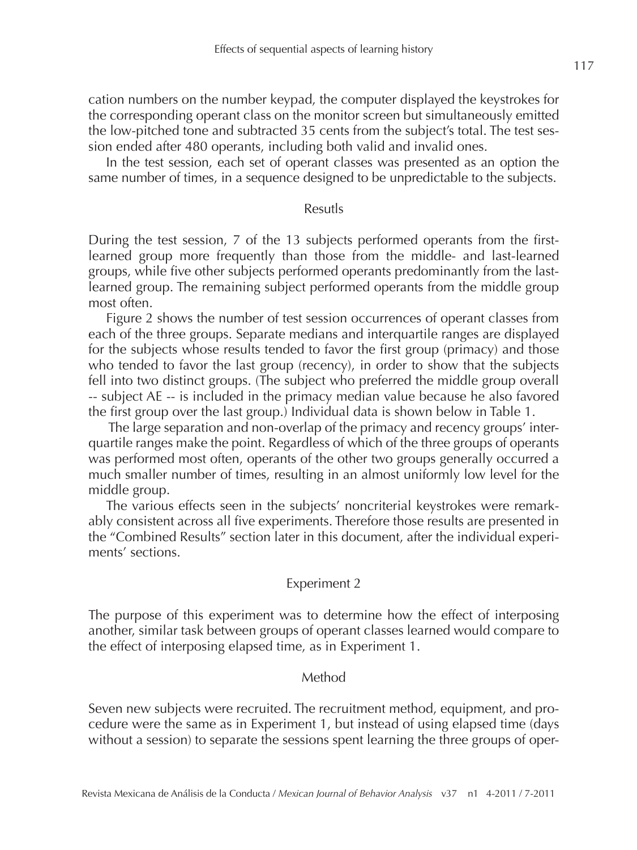cation numbers on the number keypad, the computer displayed the keystrokes for the corresponding operant class on the monitor screen but simultaneously emitted the low-pitched tone and subtracted 35 cents from the subject's total. The test session ended after 480 operants, including both valid and invalid ones.

In the test session, each set of operant classes was presented as an option the same number of times, in a sequence designed to be unpredictable to the subjects.

### Resutls

During the test session, 7 of the 13 subjects performed operants from the firstlearned group more frequently than those from the middle- and last-learned groups, while five other subjects performed operants predominantly from the lastlearned group. The remaining subject performed operants from the middle group most often.

Figure 2 shows the number of test session occurrences of operant classes from each of the three groups. Separate medians and interquartile ranges are displayed for the subjects whose results tended to favor the first group (primacy) and those who tended to favor the last group (recency), in order to show that the subjects fell into two distinct groups. (The subject who preferred the middle group overall -- subject AE -- is included in the primacy median value because he also favored the first group over the last group.) Individual data is shown below in Table 1.

 The large separation and non-overlap of the primacy and recency groups' interquartile ranges make the point. Regardless of which of the three groups of operants was performed most often, operants of the other two groups generally occurred a much smaller number of times, resulting in an almost uniformly low level for the middle group.

The various effects seen in the subjects' noncriterial keystrokes were remarkably consistent across all five experiments. Therefore those results are presented in the "Combined Results" section later in this document, after the individual experiments' sections.

### Experiment 2

The purpose of this experiment was to determine how the effect of interposing another, similar task between groups of operant classes learned would compare to the effect of interposing elapsed time, as in Experiment 1.

#### Method

Seven new subjects were recruited. The recruitment method, equipment, and procedure were the same as in Experiment 1, but instead of using elapsed time (days without a session) to separate the sessions spent learning the three groups of oper-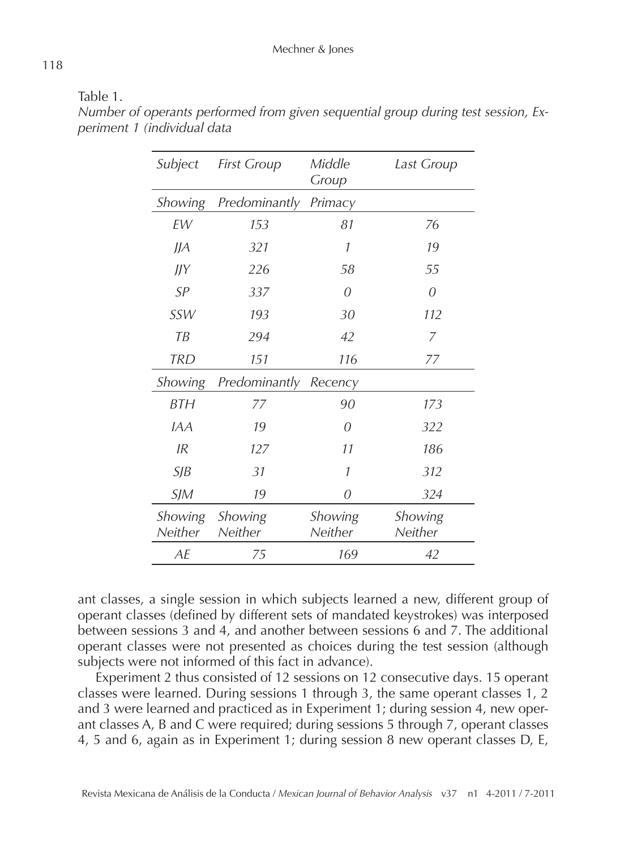| Subject            | <b>First Group</b> | Middle<br>Group    | Last Group         |
|--------------------|--------------------|--------------------|--------------------|
| Showing            | Predominantly      | Primacy            |                    |
| <b>FW</b>          | 153                | 81                 | 76                 |
| J/A                | 321                | 1                  | 19                 |
| J/Y                | 226                | 58                 | 55                 |
| SP                 | 337                | 0                  | 0                  |
| SSW                | 193                | 30                 | 112                |
| TB                 | 294                | 42                 | 7                  |
| <b>TRD</b>         | 151                | 116                | 77                 |
| Showing            | Predominantly      | Recency            |                    |
| <b>BTH</b>         | 77                 | 90                 | 173                |
| <i>IAA</i>         | 19                 | 0                  | 322                |
| IR                 | 127                | 11                 | 186                |
| S/B                | 31                 | 1                  | 312                |
| SIM                | 19                 | 0                  | 324                |
| Showing<br>Neither | Showing<br>Neither | Showing<br>Neither | Showing<br>Neither |
| AE                 | 75                 | 169                | 42                 |

Table 1.

*Number of operants performed from given sequential group during test session, Experiment 1 (individual data*

ant classes, a single session in which subjects learned a new, different group of operant classes (defined by different sets of mandated keystrokes) was interposed between sessions 3 and 4, and another between sessions 6 and 7. The additional operant classes were not presented as choices during the test session (although subjects were not informed of this fact in advance).

Experiment 2 thus consisted of 12 sessions on 12 consecutive days. 15 operant classes were learned. During sessions 1 through 3, the same operant classes 1, 2 and 3 were learned and practiced as in Experiment 1; during session 4, new operant classes A, B and C were required; during sessions 5 through 7, operant classes 4, 5 and 6, again as in Experiment 1; during session 8 new operant classes D, E,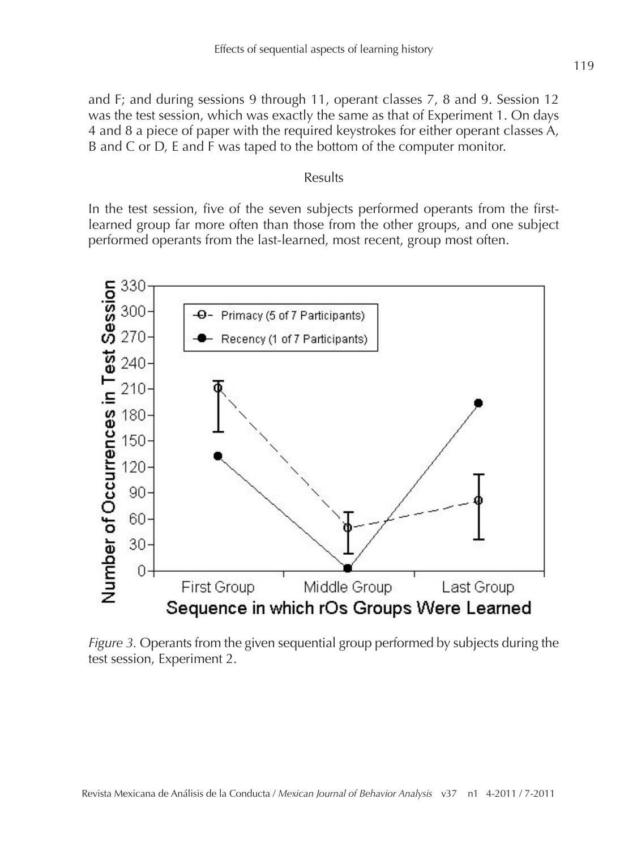and F; and during sessions 9 through 11, operant classes 7, 8 and 9. Session 12 was the test session, which was exactly the same as that of Experiment 1. On days 4 and 8 a piece of paper with the required keystrokes for either operant classes A, B and C or D, E and F was taped to the bottom of the computer monitor.

#### Results

In the test session, five of the seven subjects performed operants from the firstlearned group far more often than those from the other groups, and one subject performed operants from the last-learned, most recent, group most often.



*Figure 3.* Operants from the given sequential group performed by subjects during the test session, Experiment 2.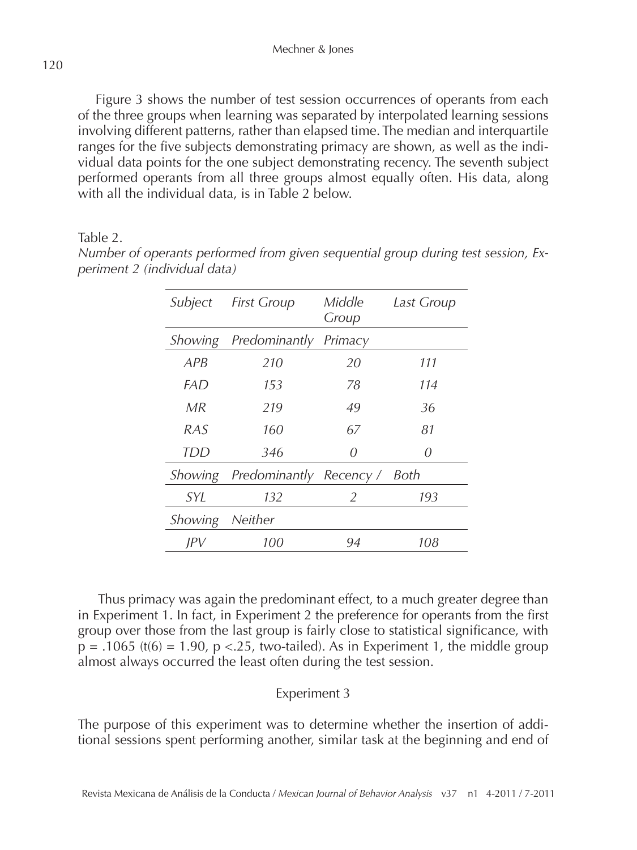Figure 3 shows the number of test session occurrences of operants from each of the three groups when learning was separated by interpolated learning sessions involving different patterns, rather than elapsed time. The median and interquartile ranges for the five subjects demonstrating primacy are shown, as well as the individual data points for the one subject demonstrating recency. The seventh subject performed operants from all three groups almost equally often. His data, along with all the individual data, is in Table 2 below.

# Table 2.

| Subject    | <b>First Group</b>      | Middle<br>Group | Last Group |
|------------|-------------------------|-----------------|------------|
| Showing    | Predominantly Primacy   |                 |            |
| APB        | 210                     | 20              | 111        |
| FAD        | 153                     | 78              | 114        |
| MR         | 219                     | 49              | 36         |
| RAS        | 160                     | 67              | 81         |
| TDD        | 346                     | $\theta$        | $\theta$   |
| Showing    | Predominantly Recency / |                 | Both       |
| <i>SYI</i> | 132                     | 2               | 193        |
| Showing    | Neither                 |                 |            |
| IPV        | 100                     | 94              | 108        |

*Number of operants performed from given sequential group during test session, Experiment 2 (individual data)*

 Thus primacy was again the predominant effect, to a much greater degree than in Experiment 1. In fact, in Experiment 2 the preference for operants from the first group over those from the last group is fairly close to statistical significance, with  $p = .1065$  (t(6) = 1.90,  $p < .25$ , two-tailed). As in Experiment 1, the middle group almost always occurred the least often during the test session.

# Experiment 3

The purpose of this experiment was to determine whether the insertion of additional sessions spent performing another, similar task at the beginning and end of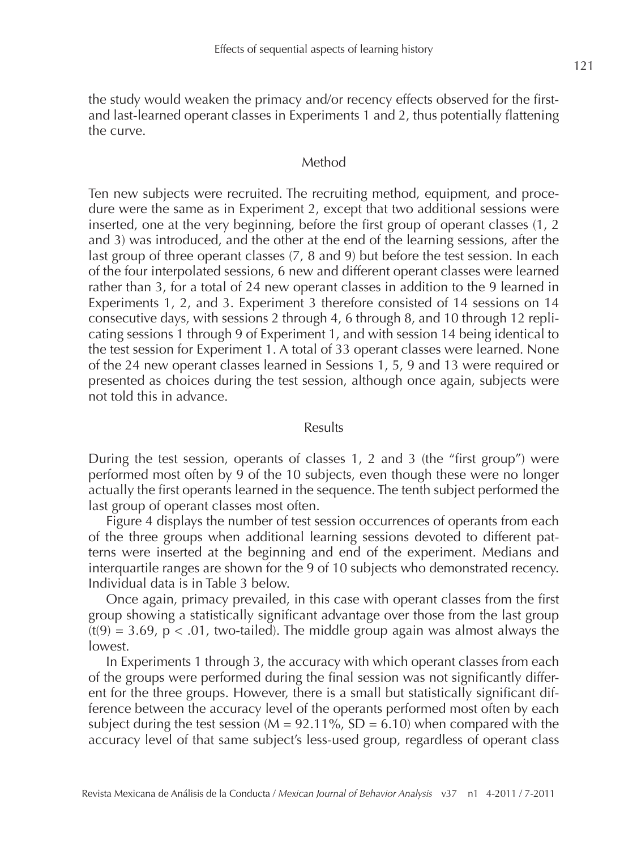the study would weaken the primacy and/or recency effects observed for the firstand last-learned operant classes in Experiments 1 and 2, thus potentially flattening the curve.

### Method

Ten new subjects were recruited. The recruiting method, equipment, and procedure were the same as in Experiment 2, except that two additional sessions were inserted, one at the very beginning, before the first group of operant classes (1, 2 and 3) was introduced, and the other at the end of the learning sessions, after the last group of three operant classes (7, 8 and 9) but before the test session. In each of the four interpolated sessions, 6 new and different operant classes were learned rather than 3, for a total of 24 new operant classes in addition to the 9 learned in Experiments 1, 2, and 3. Experiment 3 therefore consisted of 14 sessions on 14 consecutive days, with sessions 2 through 4, 6 through 8, and 10 through 12 replicating sessions 1 through 9 of Experiment 1, and with session 14 being identical to the test session for Experiment 1. A total of 33 operant classes were learned. None of the 24 new operant classes learned in Sessions 1, 5, 9 and 13 were required or presented as choices during the test session, although once again, subjects were not told this in advance.

#### Results

During the test session, operants of classes 1, 2 and 3 (the "first group") were performed most often by 9 of the 10 subjects, even though these were no longer actually the first operants learned in the sequence. The tenth subject performed the last group of operant classes most often.

Figure 4 displays the number of test session occurrences of operants from each of the three groups when additional learning sessions devoted to different patterns were inserted at the beginning and end of the experiment. Medians and interquartile ranges are shown for the 9 of 10 subjects who demonstrated recency. Individual data is in Table 3 below.

Once again, primacy prevailed, in this case with operant classes from the first group showing a statistically significant advantage over those from the last group  $(t(9) = 3.69, p < .01$ , two-tailed). The middle group again was almost always the lowest.

In Experiments 1 through 3, the accuracy with which operant classes from each of the groups were performed during the final session was not significantly different for the three groups. However, there is a small but statistically significant difference between the accuracy level of the operants performed most often by each subject during the test session ( $M = 92.11\%$ , SD = 6.10) when compared with the accuracy level of that same subject's less-used group, regardless of operant class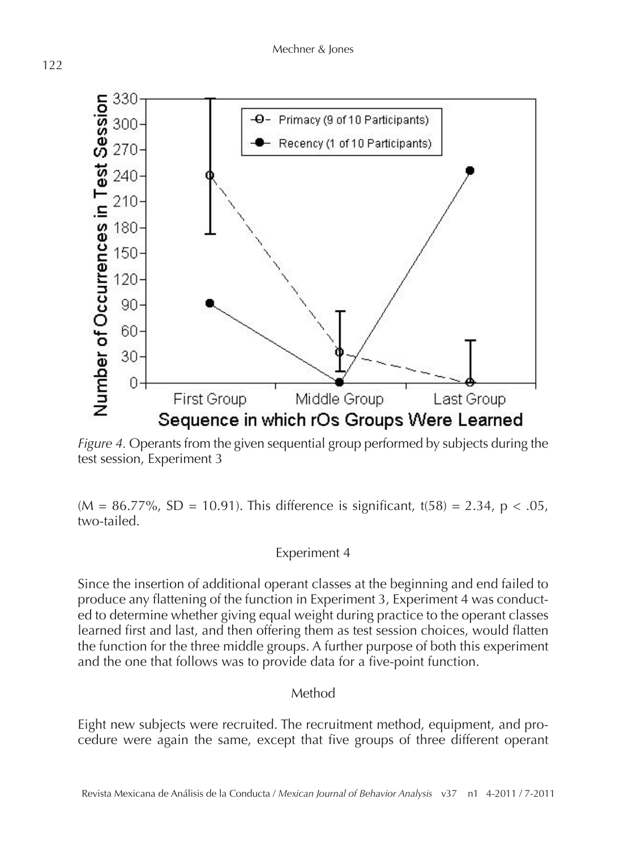

*Figure 4.* Operants from the given sequential group performed by subjects during the test session, Experiment 3

 $(M = 86.77\%$ , SD = 10.91). This difference is significant, t(58) = 2.34, p < .05, two-tailed.

# Experiment 4

Since the insertion of additional operant classes at the beginning and end failed to produce any flattening of the function in Experiment 3, Experiment 4 was conducted to determine whether giving equal weight during practice to the operant classes learned first and last, and then offering them as test session choices, would flatten the function for the three middle groups. A further purpose of both this experiment and the one that follows was to provide data for a five-point function.

# Method

Eight new subjects were recruited. The recruitment method, equipment, and procedure were again the same, except that five groups of three different operant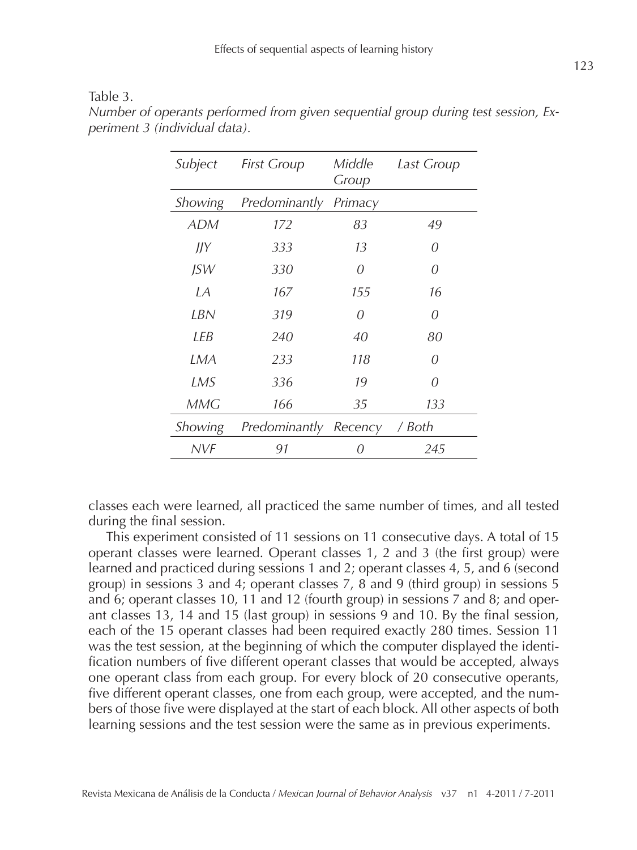| anie |  |  |
|------|--|--|
|      |  |  |

| Subject    | <b>First Group</b> | Middle<br>Group | Last Group |
|------------|--------------------|-----------------|------------|
| Showing    | Predominantly      | Primacy         |            |
| <b>ADM</b> | 172                | 83              | 49         |
| ЛY         | 333                | 13              | 0          |
| JSW        | 330                | 0               | 0          |
| I A        | 167                | 155             | 16         |
| LBN        | 319                | 0               | 0          |
| I FB       | 240                | 40              | 80         |
| LMA        | 233                | 118             | 0          |
| LMS        | 336                | 19              | 0          |
| MMG        | 166                | 35              | 133        |
| Showing    | Predominantly      | Recency         | / Both     |
| NVF        | 91                 | $\theta$        | 245        |

*Number of operants performed from given sequential group during test session, Experiment 3 (individual data).*

classes each were learned, all practiced the same number of times, and all tested during the final session.

This experiment consisted of 11 sessions on 11 consecutive days. A total of 15 operant classes were learned. Operant classes 1, 2 and 3 (the first group) were learned and practiced during sessions 1 and 2; operant classes 4, 5, and 6 (second group) in sessions 3 and 4; operant classes 7, 8 and 9 (third group) in sessions 5 and 6; operant classes 10, 11 and 12 (fourth group) in sessions 7 and 8; and operant classes 13, 14 and 15 (last group) in sessions 9 and 10. By the final session, each of the 15 operant classes had been required exactly 280 times. Session 11 was the test session, at the beginning of which the computer displayed the identification numbers of five different operant classes that would be accepted, always one operant class from each group. For every block of 20 consecutive operants, five different operant classes, one from each group, were accepted, and the numbers of those five were displayed at the start of each block. All other aspects of both learning sessions and the test session were the same as in previous experiments.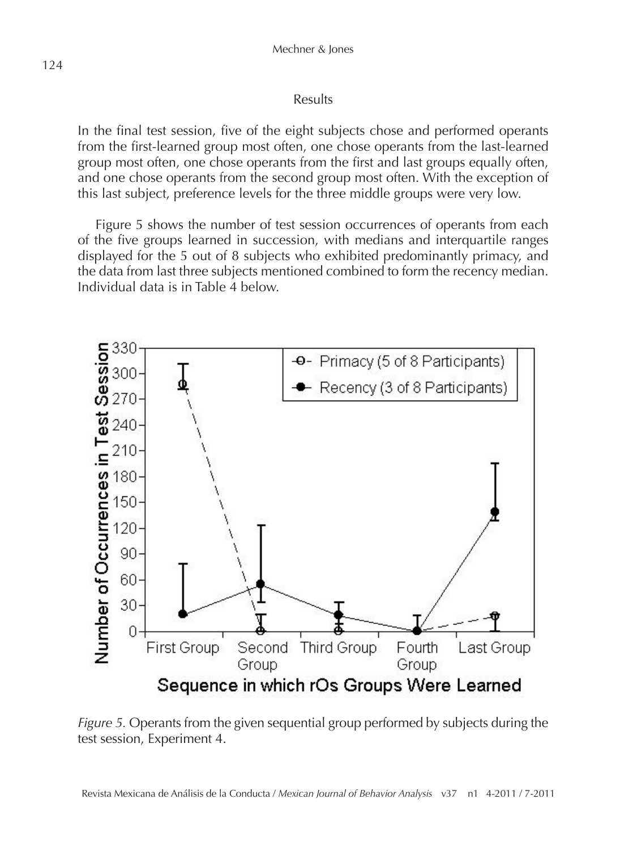### Results

In the final test session, five of the eight subjects chose and performed operants from the first-learned group most often, one chose operants from the last-learned group most often, one chose operants from the first and last groups equally often, and one chose operants from the second group most often. With the exception of this last subject, preference levels for the three middle groups were very low.

Figure 5 shows the number of test session occurrences of operants from each of the five groups learned in succession, with medians and interquartile ranges displayed for the 5 out of 8 subjects who exhibited predominantly primacy, and the data from last three subjects mentioned combined to form the recency median. Individual data is in Table 4 below.



*Figure 5.* Operants from the given sequential group performed by subjects during the test session, Experiment 4.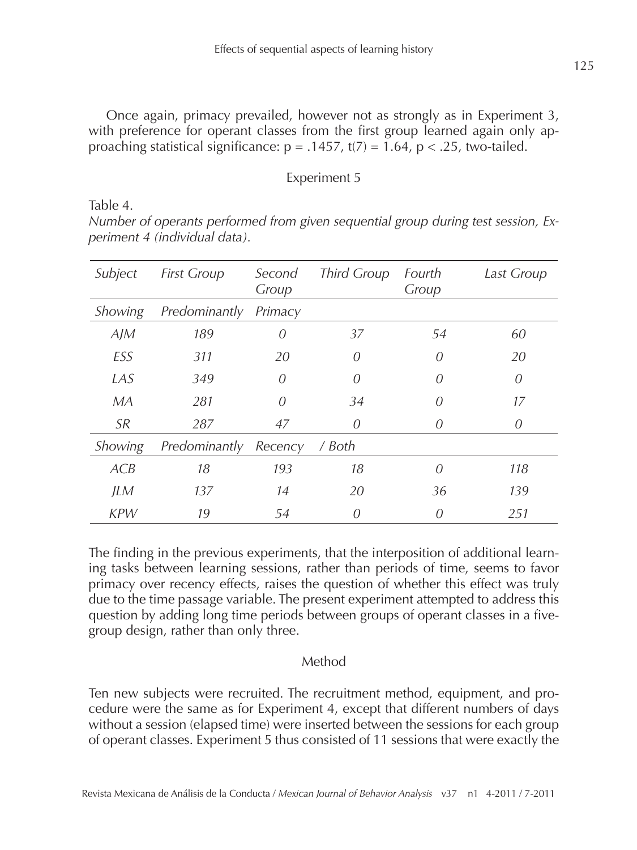Once again, primacy prevailed, however not as strongly as in Experiment 3, with preference for operant classes from the first group learned again only approaching statistical significance:  $p = .1457$ ,  $t(7) = 1.64$ ,  $p < .25$ , two-tailed.

### Experiment 5

Table 4.

*Number of operants performed from given sequential group during test session, Experiment 4 (individual data).*

| Subject    | <b>First Group</b> | Second<br>Group | <b>Third Group</b> | Fourth<br>Group | Last Group |
|------------|--------------------|-----------------|--------------------|-----------------|------------|
| Showing    | Predominantly      | Primacy         |                    |                 |            |
| A/M        | 189                | $\theta$        | 37                 | 54              | 60         |
| ESS        | 311                | 20              | 0                  | 0               | 20         |
| LAS        | 349                | 0               | $\Omega$           | $\theta$        | 0          |
| МA         | 281                | 0               | 34                 | $\theta$        | 17         |
| <b>SR</b>  | 287                | 47              | 0                  | $\theta$        | 0          |
| Showing    | Predominantly      | Recency         | / Both             |                 |            |
| ACB        | 18                 | 193             | 18                 | 0               | 118        |
| <b>JLM</b> | 137                | 14              | 20                 | 36              | 139        |
| <b>KPW</b> | 19                 | .54             | 0                  | $\theta$        | 2.51       |

The finding in the previous experiments, that the interposition of additional learning tasks between learning sessions, rather than periods of time, seems to favor primacy over recency effects, raises the question of whether this effect was truly due to the time passage variable. The present experiment attempted to address this question by adding long time periods between groups of operant classes in a fivegroup design, rather than only three.

# Method

Ten new subjects were recruited. The recruitment method, equipment, and procedure were the same as for Experiment 4, except that different numbers of days without a session (elapsed time) were inserted between the sessions for each group of operant classes. Experiment 5 thus consisted of 11 sessions that were exactly the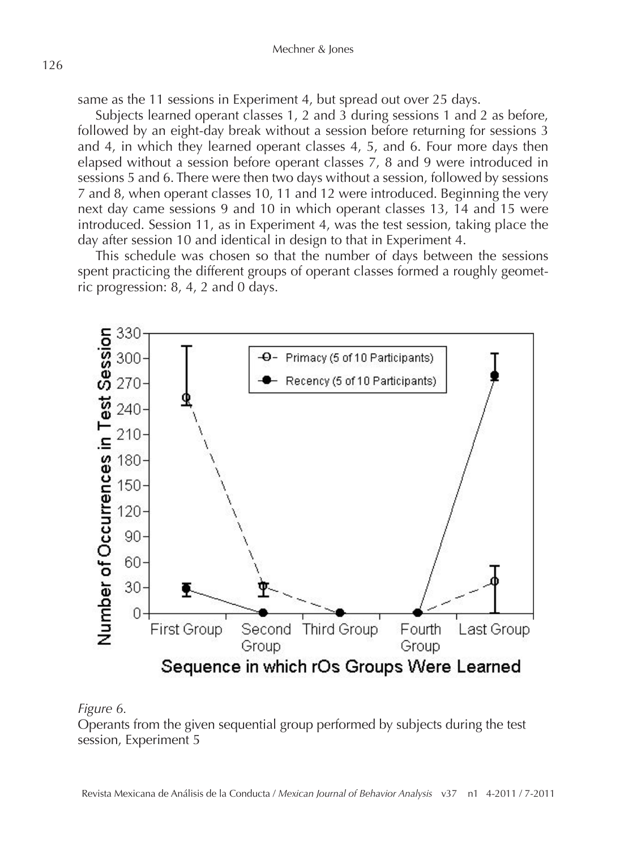same as the 11 sessions in Experiment 4, but spread out over 25 days.

Subjects learned operant classes 1, 2 and 3 during sessions 1 and 2 as before, followed by an eight-day break without a session before returning for sessions 3 and 4, in which they learned operant classes 4, 5, and 6. Four more days then elapsed without a session before operant classes 7, 8 and 9 were introduced in sessions 5 and 6. There were then two days without a session, followed by sessions 7 and 8, when operant classes 10, 11 and 12 were introduced. Beginning the very next day came sessions 9 and 10 in which operant classes 13, 14 and 15 were introduced. Session 11, as in Experiment 4, was the test session, taking place the day after session 10 and identical in design to that in Experiment 4.

This schedule was chosen so that the number of days between the sessions spent practicing the different groups of operant classes formed a roughly geometric progression: 8, 4, 2 and 0 days.



#### *Figure 6.*

Operants from the given sequential group performed by subjects during the test session, Experiment 5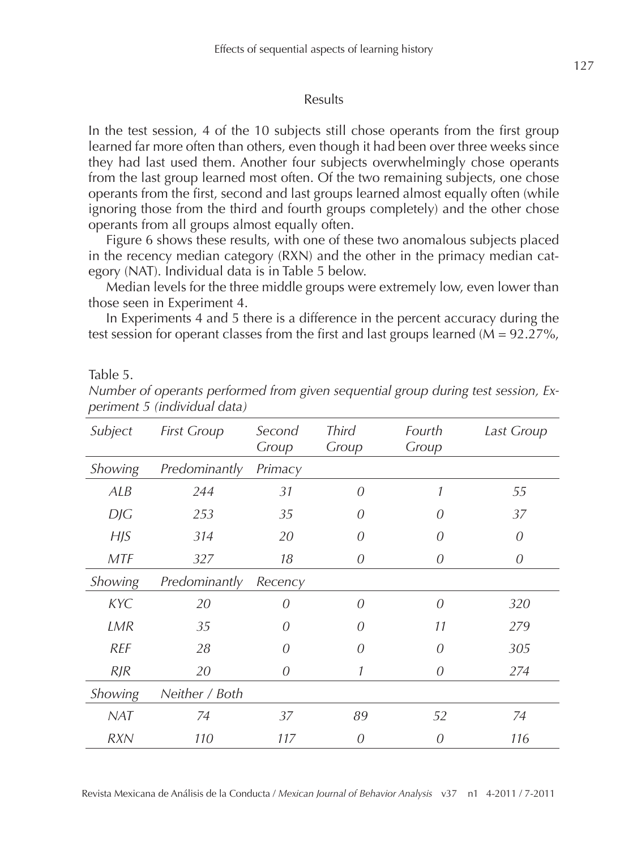#### Results

In the test session, 4 of the 10 subjects still chose operants from the first group learned far more often than others, even though it had been over three weeks since they had last used them. Another four subjects overwhelmingly chose operants from the last group learned most often. Of the two remaining subjects, one chose operants from the first, second and last groups learned almost equally often (while ignoring those from the third and fourth groups completely) and the other chose operants from all groups almost equally often.

Figure 6 shows these results, with one of these two anomalous subjects placed in the recency median category (RXN) and the other in the primacy median category (NAT). Individual data is in Table 5 below.

Median levels for the three middle groups were extremely low, even lower than those seen in Experiment 4.

In Experiments 4 and 5 there is a difference in the percent accuracy during the test session for operant classes from the first and last groups learned  $(M = 92.27\%)$ ,

Table 5.

| Subject    | <b>First Group</b> | Second<br>Group | <b>Third</b><br>Group | Fourth<br>Group | Last Group |
|------------|--------------------|-----------------|-----------------------|-----------------|------------|
| Showing    | Predominantly      | Primacy         |                       |                 |            |
| ALB        | 244                | 31              | $\Omega$              | 1               | 55         |
| DJG        | 253                | 35              | $\theta$              | $\theta$        | 37         |
| H/S        | 314                | 20              | O                     | $\theta$        | 0          |
| <b>MTF</b> | 327                | 18              | 0                     | 0               | 0          |
| Showing    | Predominantly      | Recency         |                       |                 |            |
| <b>KYC</b> | 20                 | 0               | $\Omega$              | $\Omega$        | 320        |
| LMR        | 35                 | 0               | O                     | 11              | 279        |
| <b>REF</b> | 28                 | 0               | 0                     | 0               | 305        |
| $R$ J $R$  | 20                 | 0               |                       | 0               | 274        |
| Showing    | Neither / Both     |                 |                       |                 |            |
| <b>NAT</b> | 74                 | 37              | 89                    | 52              | 74         |
| <b>RXN</b> | 110                | 117             | 0                     | $\theta$        | 116        |

*Number of operants performed from given sequential group during test session, Experiment 5 (individual data)*

Revista Mexicana de Análisis de la Conducta / *Mexican Journal of Behavior Analysis* v37 n1 4-2011 / 7-2011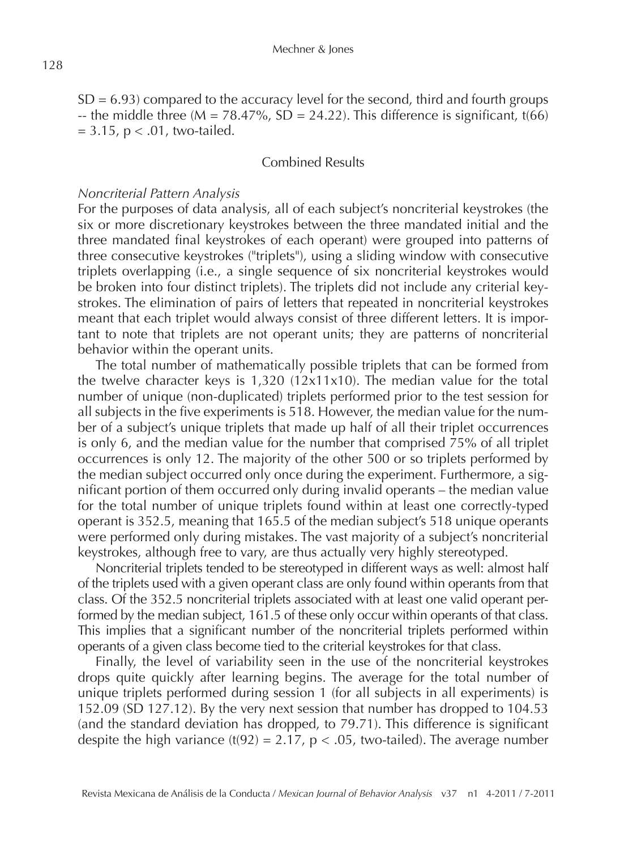$SD = 6.93$ ) compared to the accuracy level for the second, third and fourth groups -- the middle three ( $M = 78.47\%$ ,  $SD = 24.22$ ). This difference is significant, t(66)  $= 3.15$ ,  $p < .01$ , two-tailed.

### Combined Results

### *Noncriterial Pattern Analysis*

For the purposes of data analysis, all of each subject's noncriterial keystrokes (the six or more discretionary keystrokes between the three mandated initial and the three mandated final keystrokes of each operant) were grouped into patterns of three consecutive keystrokes ("triplets"), using a sliding window with consecutive triplets overlapping (i.e., a single sequence of six noncriterial keystrokes would be broken into four distinct triplets). The triplets did not include any criterial keystrokes. The elimination of pairs of letters that repeated in noncriterial keystrokes meant that each triplet would always consist of three different letters. It is important to note that triplets are not operant units; they are patterns of noncriterial behavior within the operant units.

The total number of mathematically possible triplets that can be formed from the twelve character keys is  $1,320$  ( $12x11x10$ ). The median value for the total number of unique (non-duplicated) triplets performed prior to the test session for all subjects in the five experiments is 518. However, the median value for the number of a subject's unique triplets that made up half of all their triplet occurrences is only 6, and the median value for the number that comprised 75% of all triplet occurrences is only 12. The majority of the other 500 or so triplets performed by the median subject occurred only once during the experiment. Furthermore, a significant portion of them occurred only during invalid operants – the median value for the total number of unique triplets found within at least one correctly-typed operant is 352.5, meaning that 165.5 of the median subject's 518 unique operants were performed only during mistakes. The vast majority of a subject's noncriterial keystrokes, although free to vary, are thus actually very highly stereotyped.

Noncriterial triplets tended to be stereotyped in different ways as well: almost half of the triplets used with a given operant class are only found within operants from that class. Of the 352.5 noncriterial triplets associated with at least one valid operant performed by the median subject, 161.5 of these only occur within operants of that class. This implies that a significant number of the noncriterial triplets performed within operants of a given class become tied to the criterial keystrokes for that class.

Finally, the level of variability seen in the use of the noncriterial keystrokes drops quite quickly after learning begins. The average for the total number of unique triplets performed during session 1 (for all subjects in all experiments) is 152.09 (SD 127.12). By the very next session that number has dropped to 104.53 (and the standard deviation has dropped, to 79.71). This difference is significant despite the high variance  $(t(92) = 2.17, p < .05$ , two-tailed). The average number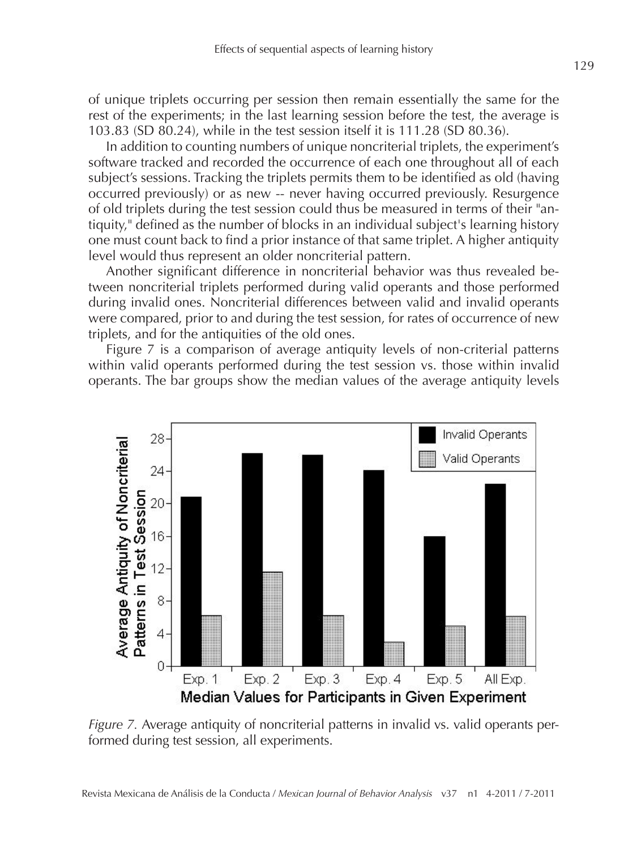of unique triplets occurring per session then remain essentially the same for the rest of the experiments; in the last learning session before the test, the average is 103.83 (SD 80.24), while in the test session itself it is 111.28 (SD 80.36).

In addition to counting numbers of unique noncriterial triplets, the experiment's software tracked and recorded the occurrence of each one throughout all of each subject's sessions. Tracking the triplets permits them to be identified as old (having occurred previously) or as new -- never having occurred previously. Resurgence of old triplets during the test session could thus be measured in terms of their "antiquity," defined as the number of blocks in an individual subject's learning history one must count back to find a prior instance of that same triplet. A higher antiquity level would thus represent an older noncriterial pattern.

Another significant difference in noncriterial behavior was thus revealed between noncriterial triplets performed during valid operants and those performed during invalid ones. Noncriterial differences between valid and invalid operants were compared, prior to and during the test session, for rates of occurrence of new triplets, and for the antiquities of the old ones.

Figure 7 is a comparison of average antiquity levels of non-criterial patterns within valid operants performed during the test session vs. those within invalid operants. The bar groups show the median values of the average antiquity levels



*Figure 7.* Average antiquity of noncriterial patterns in invalid vs. valid operants performed during test session, all experiments.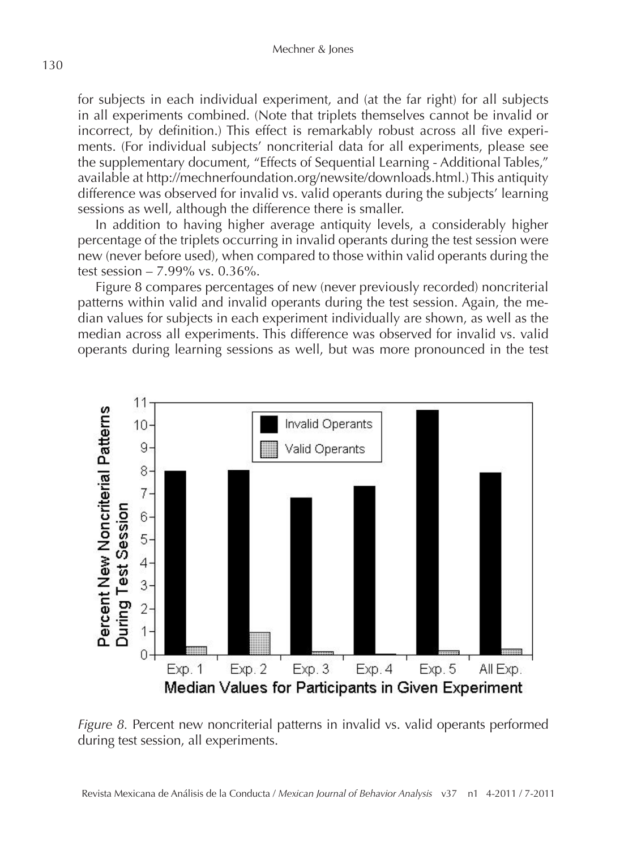for subjects in each individual experiment, and (at the far right) for all subjects in all experiments combined. (Note that triplets themselves cannot be invalid or incorrect, by definition.) This effect is remarkably robust across all five experiments. (For individual subjects' noncriterial data for all experiments, please see the supplementary document, "Effects of Sequential Learning - Additional Tables," available at http://mechnerfoundation.org/newsite/downloads.html.) This antiquity difference was observed for invalid vs. valid operants during the subjects' learning sessions as well, although the difference there is smaller.

In addition to having higher average antiquity levels, a considerably higher percentage of the triplets occurring in invalid operants during the test session were new (never before used), when compared to those within valid operants during the test session – 7.99% vs. 0.36%.

Figure 8 compares percentages of new (never previously recorded) noncriterial patterns within valid and invalid operants during the test session. Again, the median values for subjects in each experiment individually are shown, as well as the median across all experiments. This difference was observed for invalid vs. valid operants during learning sessions as well, but was more pronounced in the test



*Figure 8.* Percent new noncriterial patterns in invalid vs. valid operants performed during test session, all experiments.

130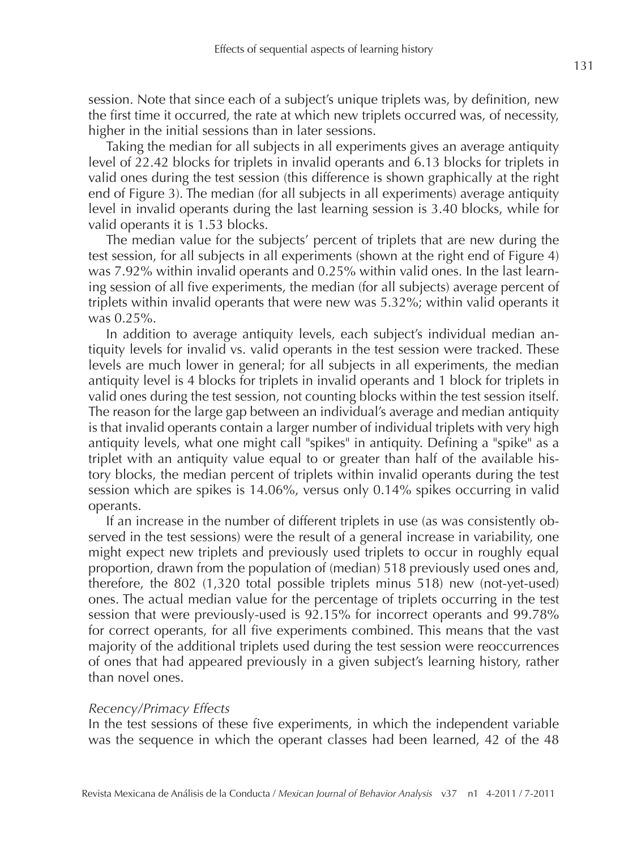session. Note that since each of a subject's unique triplets was, by definition, new the first time it occurred, the rate at which new triplets occurred was, of necessity, higher in the initial sessions than in later sessions.

Taking the median for all subjects in all experiments gives an average antiquity level of 22.42 blocks for triplets in invalid operants and 6.13 blocks for triplets in valid ones during the test session (this difference is shown graphically at the right end of Figure 3). The median (for all subjects in all experiments) average antiquity level in invalid operants during the last learning session is 3.40 blocks, while for valid operants it is 1.53 blocks.

The median value for the subjects' percent of triplets that are new during the test session, for all subjects in all experiments (shown at the right end of Figure 4) was 7.92% within invalid operants and 0.25% within valid ones. In the last learning session of all five experiments, the median (for all subjects) average percent of triplets within invalid operants that were new was 5.32%; within valid operants it was 0.25%.

In addition to average antiquity levels, each subject's individual median antiquity levels for invalid vs. valid operants in the test session were tracked. These levels are much lower in general; for all subjects in all experiments, the median antiquity level is 4 blocks for triplets in invalid operants and 1 block for triplets in valid ones during the test session, not counting blocks within the test session itself. The reason for the large gap between an individual's average and median antiquity is that invalid operants contain a larger number of individual triplets with very high antiquity levels, what one might call "spikes" in antiquity. Defining a "spike" as a triplet with an antiquity value equal to or greater than half of the available history blocks, the median percent of triplets within invalid operants during the test session which are spikes is 14.06%, versus only 0.14% spikes occurring in valid operants.

If an increase in the number of different triplets in use (as was consistently observed in the test sessions) were the result of a general increase in variability, one might expect new triplets and previously used triplets to occur in roughly equal proportion, drawn from the population of (median) 518 previously used ones and, therefore, the 802 (1,320 total possible triplets minus 518) new (not-yet-used) ones. The actual median value for the percentage of triplets occurring in the test session that were previously-used is 92.15% for incorrect operants and 99.78% for correct operants, for all five experiments combined. This means that the vast majority of the additional triplets used during the test session were reoccurrences of ones that had appeared previously in a given subject's learning history, rather than novel ones.

#### *Recency/Primacy Effects*

In the test sessions of these five experiments, in which the independent variable was the sequence in which the operant classes had been learned, 42 of the 48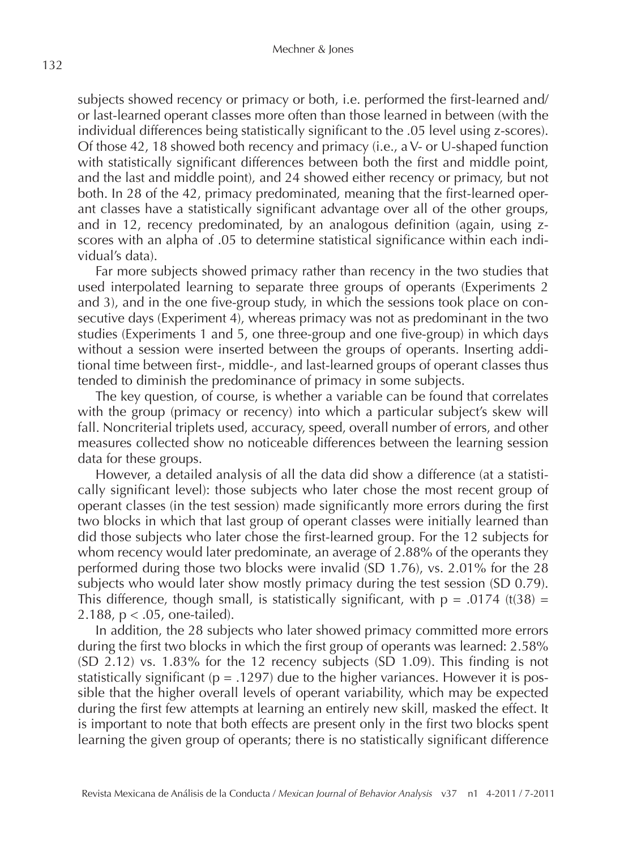subjects showed recency or primacy or both, i.e. performed the first-learned and/ or last-learned operant classes more often than those learned in between (with the individual differences being statistically significant to the .05 level using z-scores). Of those 42, 18 showed both recency and primacy (i.e., a V- or U-shaped function with statistically significant differences between both the first and middle point, and the last and middle point), and 24 showed either recency or primacy, but not both. In 28 of the 42, primacy predominated, meaning that the first-learned operant classes have a statistically significant advantage over all of the other groups, and in 12, recency predominated, by an analogous definition (again, using zscores with an alpha of .05 to determine statistical significance within each individual's data).

Far more subjects showed primacy rather than recency in the two studies that used interpolated learning to separate three groups of operants (Experiments 2 and 3), and in the one five-group study, in which the sessions took place on consecutive days (Experiment 4), whereas primacy was not as predominant in the two studies (Experiments 1 and 5, one three-group and one five-group) in which days without a session were inserted between the groups of operants. Inserting additional time between first-, middle-, and last-learned groups of operant classes thus tended to diminish the predominance of primacy in some subjects.

The key question, of course, is whether a variable can be found that correlates with the group (primacy or recency) into which a particular subject's skew will fall. Noncriterial triplets used, accuracy, speed, overall number of errors, and other measures collected show no noticeable differences between the learning session data for these groups.

However, a detailed analysis of all the data did show a difference (at a statistically significant level): those subjects who later chose the most recent group of operant classes (in the test session) made significantly more errors during the first two blocks in which that last group of operant classes were initially learned than did those subjects who later chose the first-learned group. For the 12 subjects for whom recency would later predominate, an average of 2.88% of the operants they performed during those two blocks were invalid (SD 1.76), vs. 2.01% for the 28 subjects who would later show mostly primacy during the test session (SD 0.79). This difference, though small, is statistically significant, with  $p = .0174$  (t(38) = 2.188, p < .05, one-tailed).

In addition, the 28 subjects who later showed primacy committed more errors during the first two blocks in which the first group of operants was learned: 2.58% (SD 2.12) vs. 1.83% for the 12 recency subjects (SD 1.09). This finding is not statistically significant ( $p = .1297$ ) due to the higher variances. However it is possible that the higher overall levels of operant variability, which may be expected during the first few attempts at learning an entirely new skill, masked the effect. It is important to note that both effects are present only in the first two blocks spent learning the given group of operants; there is no statistically significant difference

132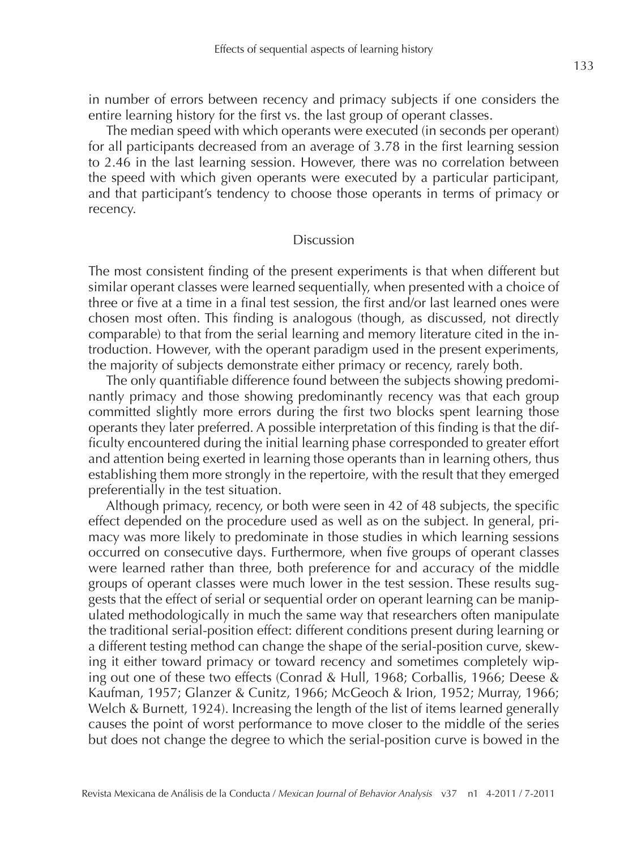in number of errors between recency and primacy subjects if one considers the entire learning history for the first vs. the last group of operant classes.

The median speed with which operants were executed (in seconds per operant) for all participants decreased from an average of 3.78 in the first learning session to 2.46 in the last learning session. However, there was no correlation between the speed with which given operants were executed by a particular participant, and that participant's tendency to choose those operants in terms of primacy or recency.

### Discussion

The most consistent finding of the present experiments is that when different but similar operant classes were learned sequentially, when presented with a choice of three or five at a time in a final test session, the first and/or last learned ones were chosen most often. This finding is analogous (though, as discussed, not directly comparable) to that from the serial learning and memory literature cited in the introduction. However, with the operant paradigm used in the present experiments, the majority of subjects demonstrate either primacy or recency, rarely both.

The only quantifiable difference found between the subjects showing predominantly primacy and those showing predominantly recency was that each group committed slightly more errors during the first two blocks spent learning those operants they later preferred. A possible interpretation of this finding is that the difficulty encountered during the initial learning phase corresponded to greater effort and attention being exerted in learning those operants than in learning others, thus establishing them more strongly in the repertoire, with the result that they emerged preferentially in the test situation.

Although primacy, recency, or both were seen in 42 of 48 subjects, the specific effect depended on the procedure used as well as on the subject. In general, primacy was more likely to predominate in those studies in which learning sessions occurred on consecutive days. Furthermore, when five groups of operant classes were learned rather than three, both preference for and accuracy of the middle groups of operant classes were much lower in the test session. These results suggests that the effect of serial or sequential order on operant learning can be manipulated methodologically in much the same way that researchers often manipulate the traditional serial-position effect: different conditions present during learning or a different testing method can change the shape of the serial-position curve, skewing it either toward primacy or toward recency and sometimes completely wiping out one of these two effects (Conrad & Hull, 1968; Corballis, 1966; Deese & Kaufman, 1957; Glanzer & Cunitz, 1966; McGeoch & Irion, 1952; Murray, 1966; Welch & Burnett, 1924). Increasing the length of the list of items learned generally causes the point of worst performance to move closer to the middle of the series but does not change the degree to which the serial-position curve is bowed in the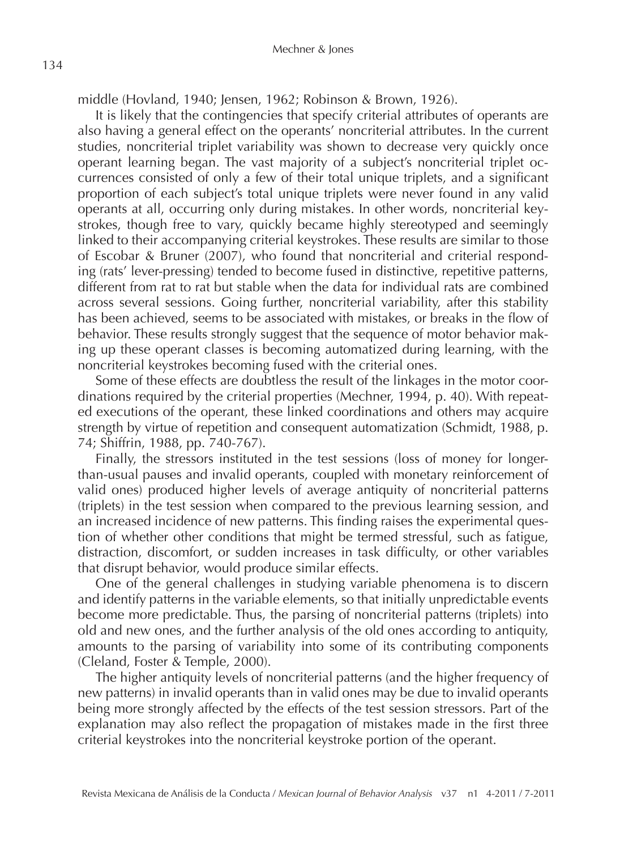middle (Hovland, 1940; Jensen, 1962; Robinson & Brown, 1926).

It is likely that the contingencies that specify criterial attributes of operants are also having a general effect on the operants' noncriterial attributes. In the current studies, noncriterial triplet variability was shown to decrease very quickly once operant learning began. The vast majority of a subject's noncriterial triplet occurrences consisted of only a few of their total unique triplets, and a significant proportion of each subject's total unique triplets were never found in any valid operants at all, occurring only during mistakes. In other words, noncriterial keystrokes, though free to vary, quickly became highly stereotyped and seemingly linked to their accompanying criterial keystrokes. These results are similar to those of Escobar & Bruner (2007), who found that noncriterial and criterial responding (rats' lever-pressing) tended to become fused in distinctive, repetitive patterns, different from rat to rat but stable when the data for individual rats are combined across several sessions. Going further, noncriterial variability, after this stability has been achieved, seems to be associated with mistakes, or breaks in the flow of behavior. These results strongly suggest that the sequence of motor behavior making up these operant classes is becoming automatized during learning, with the noncriterial keystrokes becoming fused with the criterial ones.

Some of these effects are doubtless the result of the linkages in the motor coordinations required by the criterial properties (Mechner, 1994, p. 40). With repeated executions of the operant, these linked coordinations and others may acquire strength by virtue of repetition and consequent automatization (Schmidt, 1988, p. 74; Shiffrin, 1988, pp. 740-767).

Finally, the stressors instituted in the test sessions (loss of money for longerthan-usual pauses and invalid operants, coupled with monetary reinforcement of valid ones) produced higher levels of average antiquity of noncriterial patterns (triplets) in the test session when compared to the previous learning session, and an increased incidence of new patterns. This finding raises the experimental question of whether other conditions that might be termed stressful, such as fatigue, distraction, discomfort, or sudden increases in task difficulty, or other variables that disrupt behavior, would produce similar effects.

One of the general challenges in studying variable phenomena is to discern and identify patterns in the variable elements, so that initially unpredictable events become more predictable. Thus, the parsing of noncriterial patterns (triplets) into old and new ones, and the further analysis of the old ones according to antiquity, amounts to the parsing of variability into some of its contributing components (Cleland, Foster & Temple, 2000).

The higher antiquity levels of noncriterial patterns (and the higher frequency of new patterns) in invalid operants than in valid ones may be due to invalid operants being more strongly affected by the effects of the test session stressors. Part of the explanation may also reflect the propagation of mistakes made in the first three criterial keystrokes into the noncriterial keystroke portion of the operant.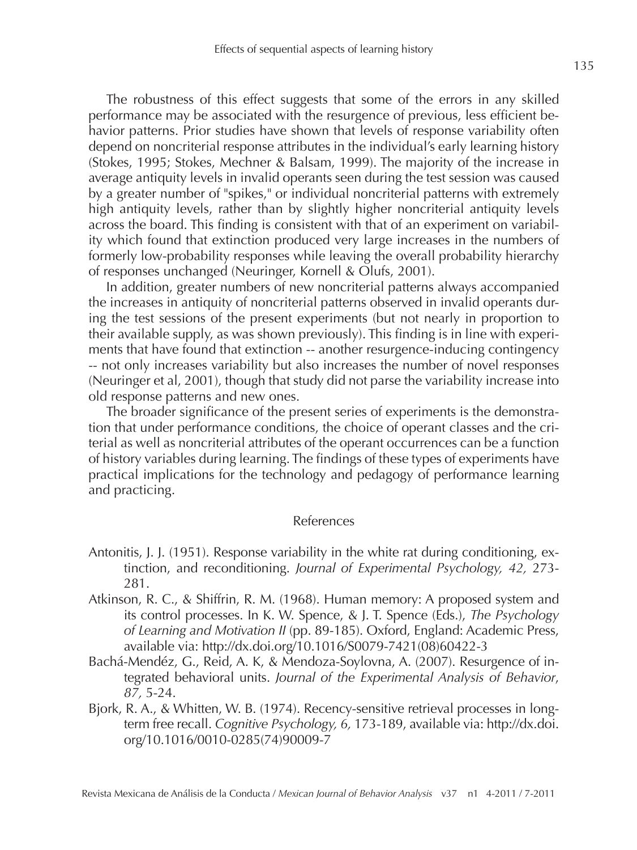The robustness of this effect suggests that some of the errors in any skilled performance may be associated with the resurgence of previous, less efficient behavior patterns. Prior studies have shown that levels of response variability often depend on noncriterial response attributes in the individual's early learning history (Stokes, 1995; Stokes, Mechner & Balsam, 1999). The majority of the increase in average antiquity levels in invalid operants seen during the test session was caused by a greater number of "spikes," or individual noncriterial patterns with extremely high antiquity levels, rather than by slightly higher noncriterial antiquity levels across the board. This finding is consistent with that of an experiment on variability which found that extinction produced very large increases in the numbers of formerly low-probability responses while leaving the overall probability hierarchy of responses unchanged (Neuringer, Kornell & Olufs, 2001).

In addition, greater numbers of new noncriterial patterns always accompanied the increases in antiquity of noncriterial patterns observed in invalid operants during the test sessions of the present experiments (but not nearly in proportion to their available supply, as was shown previously). This finding is in line with experiments that have found that extinction -- another resurgence-inducing contingency -- not only increases variability but also increases the number of novel responses (Neuringer et al, 2001), though that study did not parse the variability increase into old response patterns and new ones.

The broader significance of the present series of experiments is the demonstration that under performance conditions, the choice of operant classes and the criterial as well as noncriterial attributes of the operant occurrences can be a function of history variables during learning. The findings of these types of experiments have practical implications for the technology and pedagogy of performance learning and practicing.

#### References

- Antonitis, J. J. (1951). Response variability in the white rat during conditioning, extinction, and reconditioning. *Journal of Experimental Psychology, 42,* 273- 281.
- Atkinson, R. C., & Shiffrin, R. M. (1968). Human memory: A proposed system and its control processes. In K. W. Spence, & J. T. Spence (Eds.), *The Psychology of Learning and Motivation II* (pp. 89-185). Oxford, England: Academic Press, available via: http://dx.doi.org/10.1016/S0079-7421(08)60422-3
- Bachá-Mendéz, G., Reid, A. K, & Mendoza-Soylovna, A. (2007). Resurgence of integrated behavioral units. *Journal of the Experimental Analysis of Behavior*, *87,* 5-24.
- Bjork, R. A., & Whitten, W. B. (1974). Recency-sensitive retrieval processes in longterm free recall. *Cognitive Psychology, 6,* 173-189, available via: http://dx.doi. org/10.1016/0010-0285(74)90009-7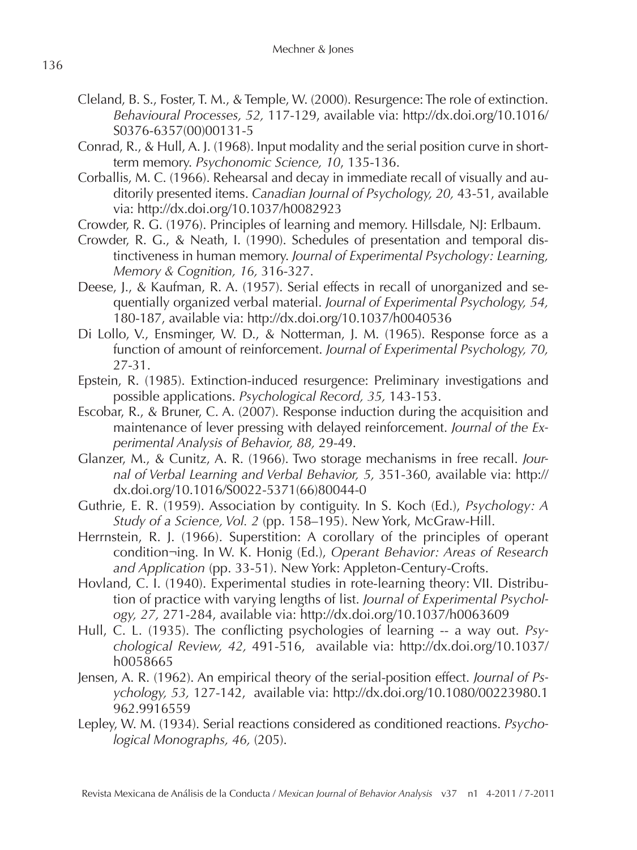- Cleland, B. S., Foster, T. M., & Temple, W. (2000). Resurgence: The role of extinction. *Behavioural Processes, 52,* 117-129, available via: http://dx.doi.org/10.1016/ S0376-6357(00)00131-5
- Conrad, R., & Hull, A. J. (1968). Input modality and the serial position curve in shortterm memory. *Psychonomic Science, 10*, 135-136.
- Corballis, M. C. (1966). Rehearsal and decay in immediate recall of visually and auditorily presented items. *Canadian Journal of Psychology, 20,* 43-51, available via: http://dx.doi.org/10.1037/h0082923
- Crowder, R. G. (1976). Principles of learning and memory. Hillsdale, NJ: Erlbaum.
- Crowder, R. G., & Neath, I. (1990). Schedules of presentation and temporal distinctiveness in human memory. *Journal of Experimental Psychology: Learning, Memory & Cognition, 16,* 316-327.
- Deese, J., & Kaufman, R. A. (1957). Serial effects in recall of unorganized and sequentially organized verbal material. *Journal of Experimental Psychology, 54,*  180-187, available via: http://dx.doi.org/10.1037/h0040536
- Di Lollo, V., Ensminger, W. D., & Notterman, J. M. (1965). Response force as a function of amount of reinforcement. *Journal of Experimental Psychology, 70,*  27-31.
- Epstein, R. (1985). Extinction-induced resurgence: Preliminary investigations and possible applications. *Psychological Record, 35,* 143-153.
- Escobar, R., & Bruner, C. A. (2007). Response induction during the acquisition and maintenance of lever pressing with delayed reinforcement. *Journal of the Experimental Analysis of Behavior, 88,* 29-49.
- Glanzer, M., & Cunitz, A. R. (1966). Two storage mechanisms in free recall. *Journal of Verbal Learning and Verbal Behavior, 5,* 351-360, available via: http:// dx.doi.org/10.1016/S0022-5371(66)80044-0
- Guthrie, E. R. (1959). Association by contiguity. In S. Koch (Ed.), *Psychology: A Study of a Science, Vol. 2* (pp. 158–195). New York, McGraw-Hill.
- Herrnstein, R. J. (1966). Superstition: A corollary of the principles of operant condition¬ing. In W. K. Honig (Ed.), *Operant Behavior: Areas of Research and Application* (pp. 33-51). New York: Appleton-Century-Crofts.
- Hovland, C. I. (1940). Experimental studies in rote-learning theory: VII. Distribution of practice with varying lengths of list. *Journal of Experimental Psychology, 27,* 271-284, available via: http://dx.doi.org/10.1037/h0063609
- Hull, C. L. (1935). The conflicting psychologies of learning -- a way out. *Psychological Review, 42,* 491-516, available via: http://dx.doi.org/10.1037/ h0058665
- Jensen, A. R. (1962). An empirical theory of the serial-position effect. *Journal of Psychology, 53,* 127-142, available via: http://dx.doi.org/10.1080/00223980.1 962.9916559
- Lepley, W. M. (1934). Serial reactions considered as conditioned reactions. *Psychological Monographs, 46,* (205).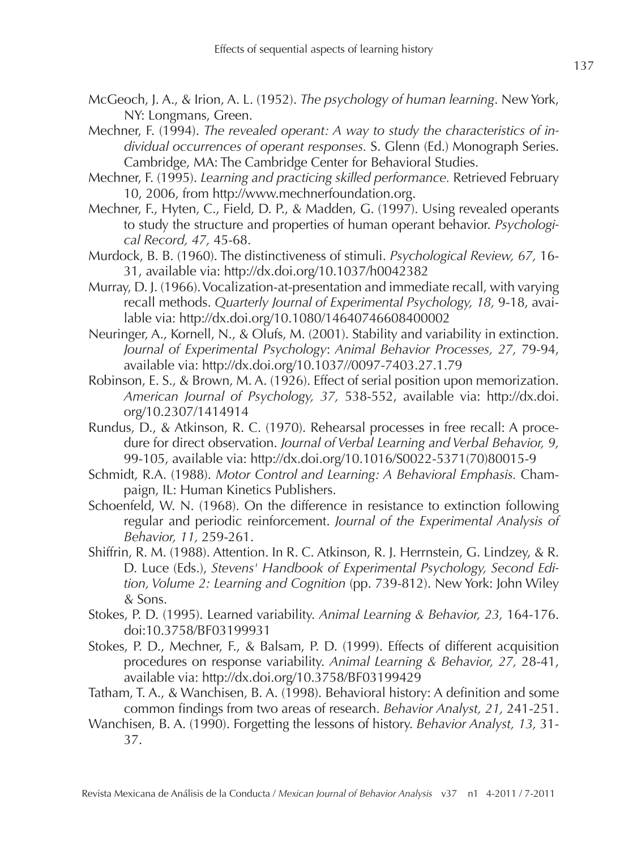- McGeoch, J. A., & Irion, A. L. (1952). *The psychology of human learning*. New York, NY: Longmans, Green.
- Mechner, F. (1994). *The revealed operant: A way to study the characteristics of individual occurrences of operant responses.* S. Glenn (Ed.) Monograph Series. Cambridge, MA: The Cambridge Center for Behavioral Studies.
- Mechner, F. (1995). *Learning and practicing skilled performance.* Retrieved February 10, 2006, from http://www.mechnerfoundation.org.
- Mechner, F., Hyten, C., Field, D. P., & Madden, G. (1997). Using revealed operants to study the structure and properties of human operant behavior. *Psychological Record, 47,* 45-68.
- Murdock, B. B. (1960). The distinctiveness of stimuli. *Psychological Review, 67,* 16- 31, available via: http://dx.doi.org/10.1037/h0042382
- Murray, D. J. (1966). Vocalization-at-presentation and immediate recall, with varying recall methods. *Quarterly Journal of Experimental Psychology, 18,* 9-18, available via: http://dx.doi.org/10.1080/14640746608400002
- Neuringer, A., Kornell, N., & Olufs, M. (2001). Stability and variability in extinction. *Journal of Experimental Psychology*: *Animal Behavior Processes, 27,* 79-94, available via: http://dx.doi.org/10.1037//0097-7403.27.1.79
- Robinson, E. S., & Brown, M. A. (1926). Effect of serial position upon memorization. *American Journal of Psychology, 37,* 538-552, available via: http://dx.doi. org/10.2307/1414914
- Rundus, D., & Atkinson, R. C. (1970). Rehearsal processes in free recall: A procedure for direct observation. *Journal of Verbal Learning and Verbal Behavior, 9,*  99-105, available via: http://dx.doi.org/10.1016/S0022-5371(70)80015-9
- Schmidt, R.A. (1988). *Motor Control and Learning: A Behavioral Emphasis.* Champaign, IL: Human Kinetics Publishers.
- Schoenfeld, W. N. (1968). On the difference in resistance to extinction following regular and periodic reinforcement. *Journal of the Experimental Analysis of Behavior, 11,* 259-261.
- Shiffrin, R. M. (1988). Attention. In R. C. Atkinson, R. J. Herrnstein, G. Lindzey, & R. D. Luce (Eds.), *Stevens' Handbook of Experimental Psychology, Second Edition, Volume 2: Learning and Cognition* (pp. 739-812). New York: John Wiley & Sons.
- Stokes, P. D. (1995). Learned variability. *Animal Learning & Behavior, 23,* 164-176. doi:10.3758/BF03199931
- Stokes, P. D., Mechner, F., & Balsam, P. D. (1999). Effects of different acquisition procedures on response variability. *Animal Learning & Behavior, 27,* 28-41, available via: http://dx.doi.org/10.3758/BF03199429
- Tatham, T. A., & Wanchisen, B. A. (1998). Behavioral history: A definition and some common findings from two areas of research. *Behavior Analyst, 21,* 241-251.
- Wanchisen, B. A. (1990). Forgetting the lessons of history. *Behavior Analyst, 13,* 31- 37.